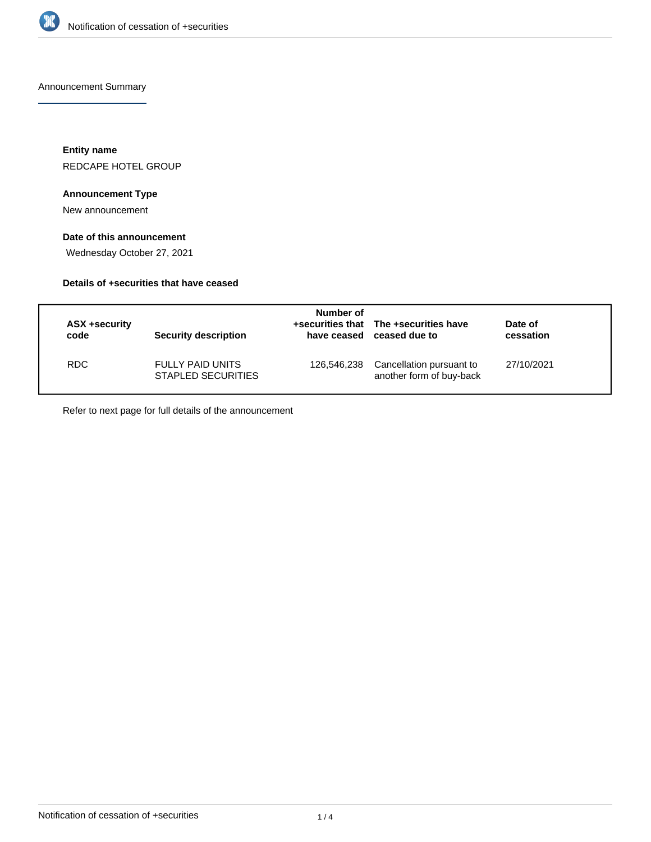

Announcement Summary

**Entity name** REDCAPE HOTEL GROUP

#### **Announcement Type**

New announcement

## **Date of this announcement**

Wednesday October 27, 2021

## **Details of +securities that have ceased**

| ASX +security<br>code | Security description                                 | Number of<br>have ceased | +securities that The +securities have<br>ceased due to | Date of<br>cessation |  |
|-----------------------|------------------------------------------------------|--------------------------|--------------------------------------------------------|----------------------|--|
| RDC.                  | <b>FULLY PAID UNITS</b><br><b>STAPLED SECURITIES</b> | 126,546,238              | Cancellation pursuant to<br>another form of buy-back   | 27/10/2021           |  |

Refer to next page for full details of the announcement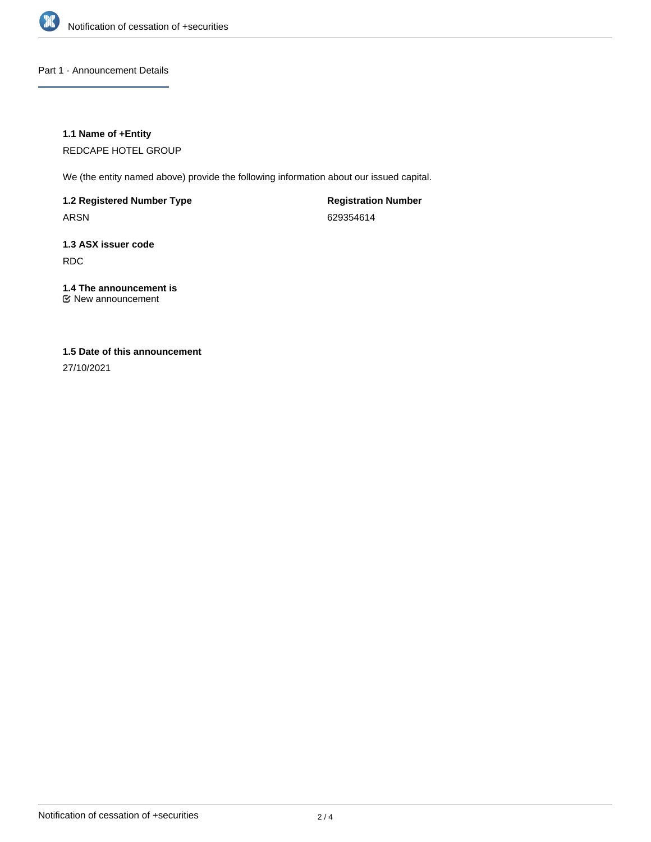

Part 1 - Announcement Details

#### **1.1 Name of +Entity**

REDCAPE HOTEL GROUP

We (the entity named above) provide the following information about our issued capital.

**1.2 Registered Number Type** ARSN

**Registration Number** 629354614

**1.3 ASX issuer code** RDC

# **1.4 The announcement is**

New announcement

## **1.5 Date of this announcement**

27/10/2021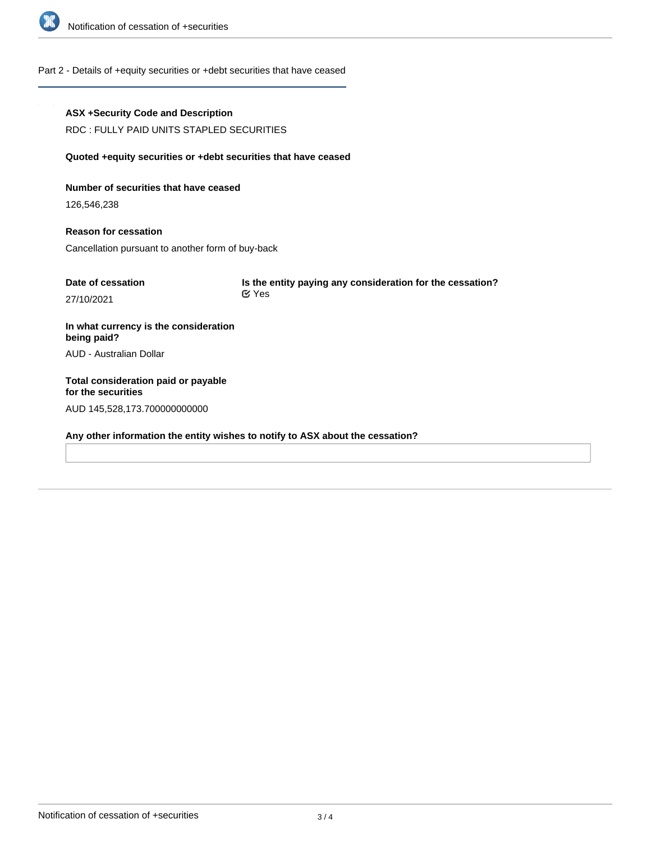

## Part 2 - Details of +equity securities or +debt securities that have ceased

| <b>ASX +Security Code and Description</b><br>RDC: FULLY PAID UNITS STAPLED SECURITIES     |                                                                           |  |  |  |  |
|-------------------------------------------------------------------------------------------|---------------------------------------------------------------------------|--|--|--|--|
| Quoted +equity securities or +debt securities that have ceased                            |                                                                           |  |  |  |  |
| Number of securities that have ceased<br>126,546,238                                      |                                                                           |  |  |  |  |
| <b>Reason for cessation</b><br>Cancellation pursuant to another form of buy-back          |                                                                           |  |  |  |  |
| Date of cessation<br>27/10/2021                                                           | Is the entity paying any consideration for the cessation?<br>$\alpha$ Yes |  |  |  |  |
| In what currency is the consideration<br>being paid?                                      |                                                                           |  |  |  |  |
| AUD - Australian Dollar                                                                   |                                                                           |  |  |  |  |
| Total consideration paid or payable<br>for the securities<br>AUD 145,528,173.700000000000 |                                                                           |  |  |  |  |

**Any other information the entity wishes to notify to ASX about the cessation?**